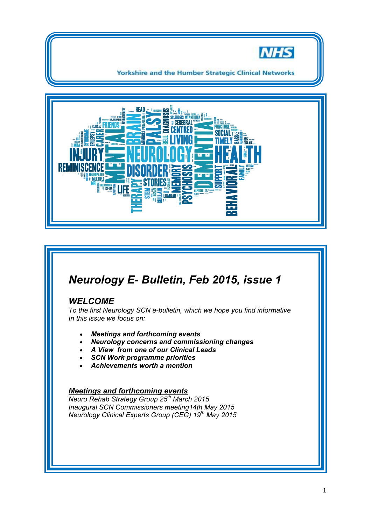

**Yorkshire and the Humber Strategic Clinical Networks** 



# *Neurology E- Bulletin, Feb 2015, issue 1*

# *WELCOME*

*To the first Neurology SCN e-bulletin, which we hope you find informative In this issue we focus on:* 

- *Meetings and forthcoming events*
- *Neurology concerns and commissioning changes*
- *A View from one of our Clinical Leads*
- *SCN Work programme priorities*
- *Achievements worth a mention*

## *Meetings and forthcoming events*

*Neuro Rehab Strategy Group 25th March 2015 Inaugural SCN Commissioners meeting14th May 2015 Neurology Clinical Experts Group (CEG) 19th May 2015*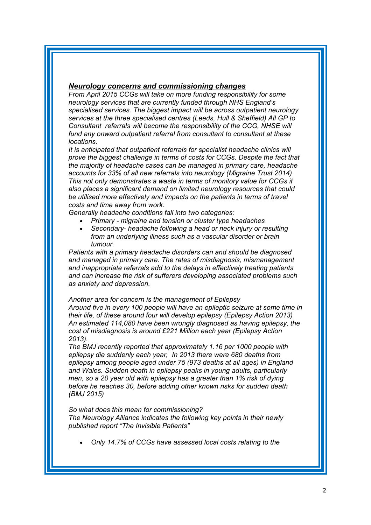#### *Neurology concerns and commissioning changes*

*From April 2015 CCGs will take on more funding responsibility for some neurology services that are currently funded through NHS England's specialised services. The biggest impact will be across outpatient neurology services at the three specialised centres (Leeds, Hull & Sheffield) All GP to Consultant referrals will become the responsibility of the CCG, NHSE will fund any onward outpatient referral from consultant to consultant at these locations.* 

*It is anticipated that outpatient referrals for specialist headache clinics will prove the biggest challenge in terms of costs for CCGs. Despite the fact that the majority of headache cases can be managed in primary care, headache accounts for 33% of all new referrals into neurology (Migraine Trust 2014) This not only demonstrates a waste in terms of monitory value for CCGs it also places a significant demand on limited neurology resources that could be utilised more effectively and impacts on the patients in terms of travel costs and time away from work.* 

*Generally headache conditions fall into two categories:* 

- *Primary migraine and tension or cluster type headaches*
- *Secondary- headache following a head or neck injury or resulting from an underlying illness such as a vascular disorder or brain tumour.*

*Patients with a primary headache disorders can and should be diagnosed and managed in primary care. The rates of misdiagnosis, mismanagement and inappropriate referrals add to the delays in effectively treating patients and can increase the risk of sufferers developing associated problems such as anxiety and depression.* 

*Another area for concern is the management of Epilepsy* 

*Around five in every 100 people will have an epileptic seizure at some time in their life, of these around four will develop epilepsy (Epilepsy Action 2013) An estimated 114,080 have been wrongly diagnosed as having epilepsy, the cost of misdiagnosis is around £221 Million each year (Epilepsy Action 2013).* 

*The BMJ recently reported that approximately 1.16 per 1000 people with epilepsy die suddenly each year, In 2013 there were 680 deaths from epilepsy among people aged under 75 (973 deaths at all ages) in England and Wales. Sudden death in epilepsy peaks in young adults, particularly men, so a 20 year old with epilepsy has a greater than 1% risk of dying before he reaches 30, before adding other known risks for sudden death (BMJ 2015)* 

*So what does this mean for commissioning? The Neurology Alliance indicates the following key points in their newly published report "The Invisible Patients"* 

*Only 14.7% of CCGs have assessed local costs relating to the*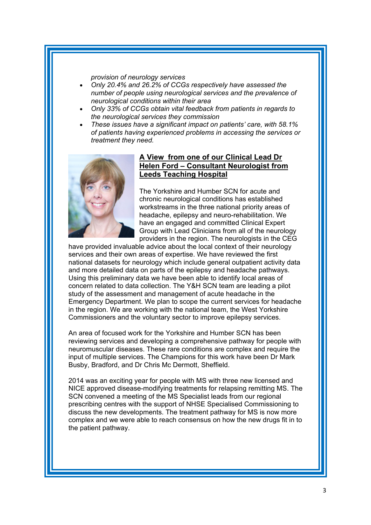*provision of neurology services* 

- *Only 20.4% and 26.2% of CCGs respectively have assessed the number of people using neurological services and the prevalence of neurological conditions within their area*
- *Only 33% of CCGs obtain vital feedback from patients in regards to the neurological services they commission*
- *These issues have a significant impact on patients' care, with 58.1% of patients having experienced problems in accessing the services or treatment they need.*



# **A View from one of our Clinical Lead Dr Helen Ford – Consultant Neurologist from Leeds Teaching Hospital**

The Yorkshire and Humber SCN for acute and chronic neurological conditions has established workstreams in the three national priority areas of headache, epilepsy and neuro-rehabilitation. We have an engaged and committed Clinical Expert Group with Lead Clinicians from all of the neurology providers in the region. The neurologists in the CEG

have provided invaluable advice about the local context of their neurology services and their own areas of expertise. We have reviewed the first national datasets for neurology which include general outpatient activity data and more detailed data on parts of the epilepsy and headache pathways. Using this preliminary data we have been able to identify local areas of concern related to data collection. The Y&H SCN team are leading a pilot study of the assessment and management of acute headache in the Emergency Department. We plan to scope the current services for headache in the region. We are working with the national team, the West Yorkshire Commissioners and the voluntary sector to improve epilepsy services.

An area of focused work for the Yorkshire and Humber SCN has been reviewing services and developing a comprehensive pathway for people with neuromuscular diseases. These rare conditions are complex and require the input of multiple services. The Champions for this work have been Dr Mark Busby, Bradford, and Dr Chris Mc Dermott, Sheffield.

2014 was an exciting year for people with MS with three new licensed and NICE approved disease-modifying treatments for relapsing remitting MS. The SCN convened a meeting of the MS Specialist leads from our regional prescribing centres with the support of NHSE Specialised Commissioning to discuss the new developments. The treatment pathway for MS is now more complex and we were able to reach consensus on how the new drugs fit in to the patient pathway.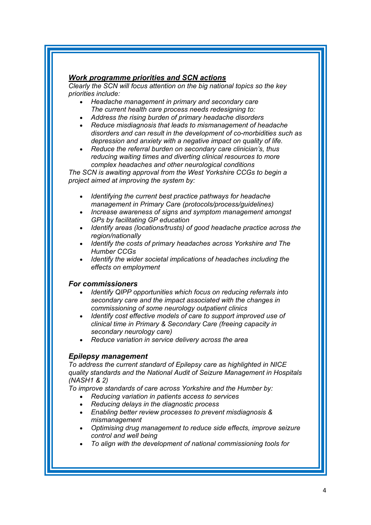# *Work programme priorities and SCN actions*

*Clearly the SCN will focus attention on the big national topics so the key priorities include:* 

- *Headache management in primary and secondary care The current health care process needs redesigning to:*
- *Address the rising burden of primary headache disorders*
- *Reduce misdiagnosis that leads to mismanagement of headache disorders and can result in the development of co-morbidities such as depression and anxiety with a negative impact on quality of life.*
- *Reduce the referral burden on secondary care clinician's, thus reducing waiting times and diverting clinical resources to more complex headaches and other neurological conditions*

*The SCN is awaiting approval from the West Yorkshire CCGs to begin a project aimed at improving the system by:* 

- *Identifying the current best practice pathways for headache management in Primary Care (protocols/process/guidelines)*
- *Increase awareness of signs and symptom management amongst GPs by facilitating GP education*
- *Identify areas (locations/trusts) of good headache practice across the region/nationally*
- *Identify the costs of primary headaches across Yorkshire and The Humber CCGs*
- *Identify the wider societal implications of headaches including the effects on employment*

## *For commissioners*

- *Identify QIPP opportunities which focus on reducing referrals into secondary care and the impact associated with the changes in commissioning of some neurology outpatient clinics*
- *Identify cost effective models of care to support improved use of clinical time in Primary & Secondary Care (freeing capacity in secondary neurology care)*
- *Reduce variation in service delivery across the area*

# *Epilepsy management*

*To address the current standard of Epilepsy care as highlighted in NICE quality standards and the National Audit of Seizure Management in Hospitals (NASH1 & 2)* 

*To improve standards of care across Yorkshire and the Humber by:* 

- *Reducing variation in patients access to services*
- *Reducing delays in the diagnostic process*
- *Enabling better review processes to prevent misdiagnosis & mismanagement*
- *Optimising drug management to reduce side effects, improve seizure control and well being*
- *To align with the development of national commissioning tools for*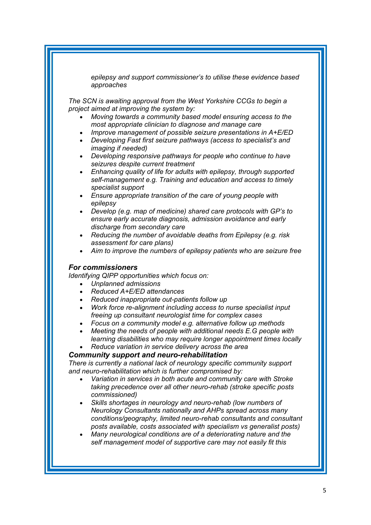*epilepsy and support commissioner's to utilise these evidence based approaches* 

*The SCN is awaiting approval from the West Yorkshire CCGs to begin a project aimed at improving the system by:* 

- *Moving towards a community based model ensuring access to the most appropriate clinician to diagnose and manage care*
- *Improve management of possible seizure presentations in A+E/ED*
- *Developing Fast first seizure pathways (access to specialist's and imaging if needed)*
- *Developing responsive pathways for people who continue to have seizures despite current treatment*
- *Enhancing quality of life for adults with epilepsy, through supported self-management e.g. Training and education and access to timely specialist support*
- *Ensure appropriate transition of the care of young people with epilepsy*
- *Develop (e.g. map of medicine) shared care protocols with GP's to ensure early accurate diagnosis, admission avoidance and early discharge from secondary care*
- *Reducing the number of avoidable deaths from Epilepsy (e.g. risk assessment for care plans)*
- *Aim to improve the numbers of epilepsy patients who are seizure free*

#### *For commissioners*

*Identifying QIPP opportunities which focus on:* 

- *Unplanned admissions*
- *Reduced A+E/ED attendances*
- *Reduced inappropriate out-patients follow up*
- *Work force re-alignment including access to nurse specialist input freeing up consultant neurologist time for complex cases*
- *Focus on a community model e.g. alternative follow up methods*
- *Meeting the needs of people with additional needs E.G people with learning disabilities who may require longer appointment times locally*
- *Reduce variation in service delivery across the area*

#### *Community support and neuro-rehabilitation*

*There is currently a national lack of neurology specific community support and neuro-rehabilitation which is further compromised by:* 

- *Variation in services in both acute and community care with Stroke taking precedence over all other neuro-rehab (stroke specific posts commissioned)*
- *Skills shortages in neurology and neuro-rehab (low numbers of Neurology Consultants nationally and AHPs spread across many conditions/geography, limited neuro-rehab consultants and consultant posts available, costs associated with specialism vs generalist posts)*
- *Many neurological conditions are of a deteriorating nature and the self management model of supportive care may not easily fit this*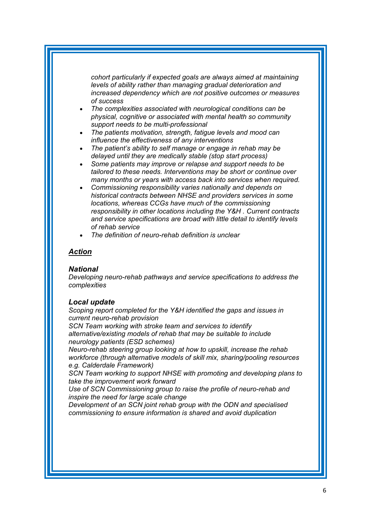*cohort particularly if expected goals are always aimed at maintaining levels of ability rather than managing gradual deterioration and increased dependency which are not positive outcomes or measures of success* 

- *The complexities associated with neurological conditions can be physical, cognitive or associated with mental health so community support needs to be multi-professional*
- *The patients motivation, strength, fatigue levels and mood can influence the effectiveness of any interventions*
- *The patient's ability to self manage or engage in rehab may be delayed until they are medically stable (stop start process)*
- *Some patients may improve or relapse and support needs to be tailored to these needs. Interventions may be short or continue over many months or years with access back into services when required.*
- *Commissioning responsibility varies nationally and depends on historical contracts between NHSE and providers services in some locations, whereas CCGs have much of the commissioning responsibility in other locations including the Y&H . Current contracts and service specifications are broad with little detail to identify levels of rehab service*
- *The definition of neuro-rehab definition is unclear*

### *Action*

#### *National*

*Developing neuro-rehab pathways and service specifications to address the complexities* 

#### *Local update*

*Scoping report completed for the Y&H identified the gaps and issues in current neuro-rehab provision* 

*SCN Team working with stroke team and services to identify alternative/existing models of rehab that may be suitable to include* 

*neurology patients (ESD schemes)* 

*Neuro-rehab steering group looking at how to upskill, increase the rehab workforce (through alternative models of skill mix, sharing/pooling resources e.g. Calderdale Framework)* 

*SCN Team working to support NHSE with promoting and developing plans to take the improvement work forward* 

*Use of SCN Commissioning group to raise the profile of neuro-rehab and inspire the need for large scale change* 

*Development of an SCN joint rehab group with the ODN and specialised commissioning to ensure information is shared and avoid duplication*